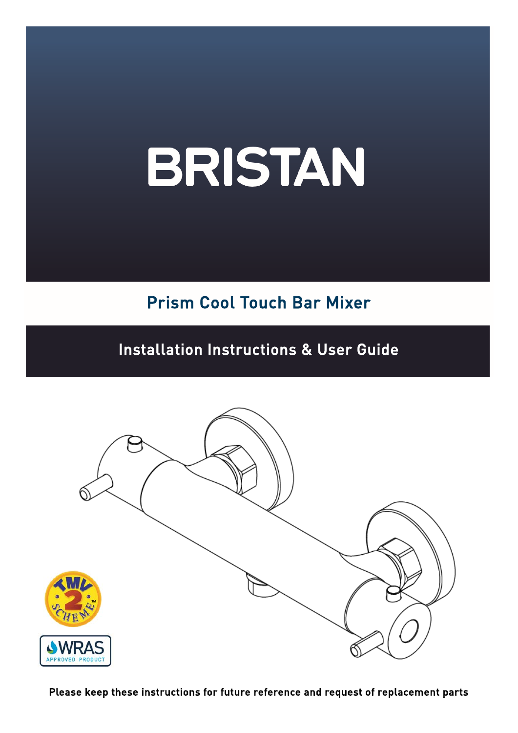### Prism Cool Touch Bar Mixer

#### Installation Instructions & User Guide



Please keep these instructions for future reference and request of replacement parts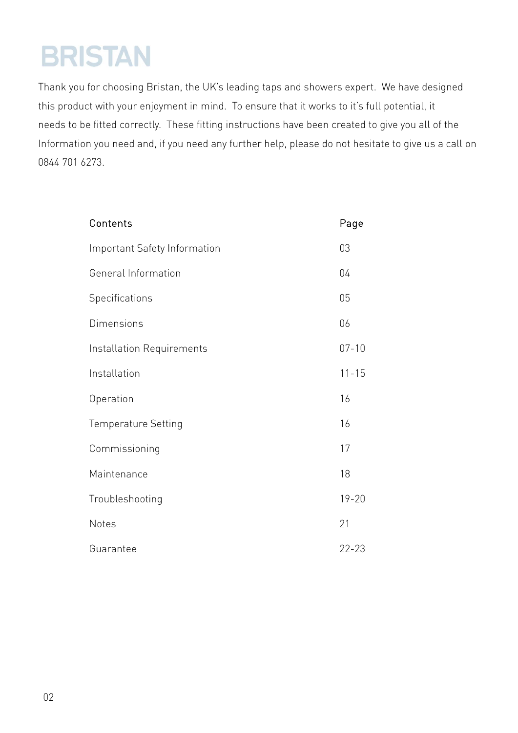Thank you for choosing Bristan, the UK's leading taps and showers expert. We have designed this product with your enjoyment in mind. To ensure that it works to it's full potential, it needs to be fitted correctly. These fitting instructions have been created to give you all of the Information you need and, if you need any further help, please do not hesitate to give us a call on 0844 701 6273.

| Contents                     | Page      |
|------------------------------|-----------|
| Important Safety Information | 03        |
| General Information          | 04        |
| Specifications               | 05        |
| Dimensions                   | 06        |
| Installation Requirements    | $07 - 10$ |
| Installation                 | $11 - 15$ |
| Operation                    | 16        |
| <b>Temperature Setting</b>   | 16        |
| Commissioning                | 17        |
| Maintenance                  | 18        |
| Troubleshooting              | $19 - 20$ |
| <b>Notes</b>                 | 21        |
| Guarantee                    | $22 - 23$ |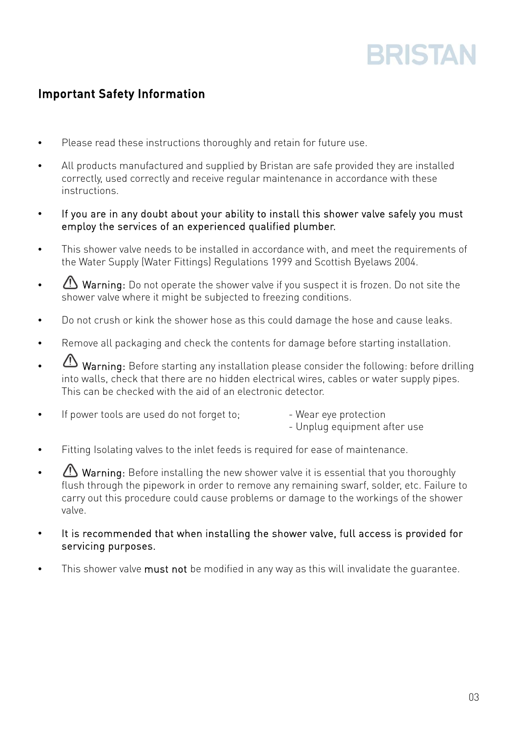#### Important Safety Information

- Please read these instructions thoroughly and retain for future use.
- All products manufactured and supplied by Bristan are safe provided they are installed correctly, used correctly and receive regular maintenance in accordance with these instructions.
- If you are in any doubt about your ability to install this shower valve safely you must employ the services of an experienced qualified plumber.
- This shower valve needs to be installed in accordance with, and meet the requirements of the Water Supply (Water Fittings) Regulations 1999 and Scottish Byelaws 2004.
- Warning: Do not operate the shower valve if you suspect it is frozen. Do not site the shower valve where it might be subjected to freezing conditions.
- Do not crush or kink the shower hose as this could damage the hose and cause leaks.
- Remove all packaging and check the contents for damage before starting installation.
- Warning: Before starting any installation please consider the following: before drilling into walls, check that there are no hidden electrical wires, cables or water supply pipes. This can be checked with the aid of an electronic detector.
- If power tools are used do not forget to: The Superior Puear eve protection
	- Unplug equipment after use
- Fitting Isolating valves to the inlet feeds is required for ease of maintenance.
- **Warning:** Before installing the new shower valve it is essential that you thoroughly flush through the pipework in order to remove any remaining swarf, solder, etc. Failure to carry out this procedure could cause problems or damage to the workings of the shower valve.
- It is recommended that when installing the shower valve, full access is provided for servicing purposes.
- This shower valve must not be modified in any way as this will invalidate the quarantee.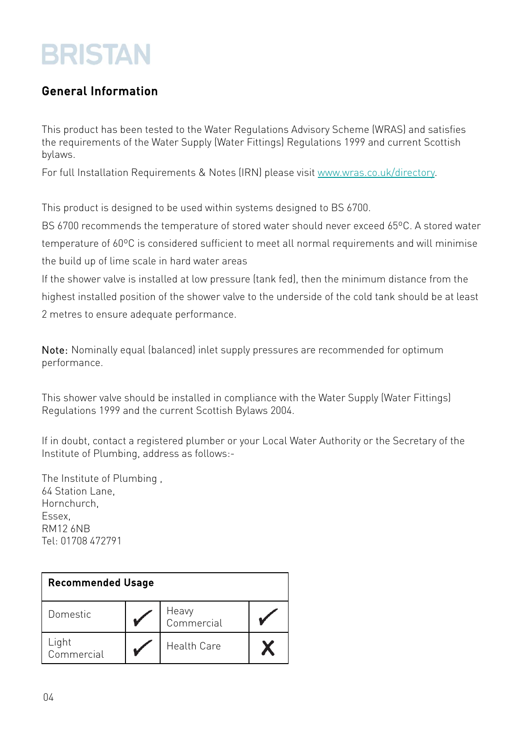#### General Information

This product has been tested to the Water Regulations Advisory Scheme (WRAS) and satisfies the requirements of the Water Supply (Water Fittings) Regulations 1999 and current Scottish bylaws.

For full Installation Requirements & Notes (IRN) please visit www.wras.co.uk/directory.

This product is designed to be used within systems designed to BS 6700.

BS 6700 recommends the temperature of stored water should never exceed 65ºC. A stored water temperature of 60ºC is considered sufficient to meet all normal requirements and will minimise the build up of lime scale in hard water areas

If the shower valve is installed at low pressure (tank fed), then the minimum distance from the highest installed position of the shower valve to the underside of the cold tank should be at least 2 metres to ensure adequate performance.

Note: Nominally equal (balanced) inlet supply pressures are recommended for optimum performance.

This shower valve should be installed in compliance with the Water Supply (Water Fittings) Regulations 1999 and the current Scottish Bylaws 2004.

If in doubt, contact a registered plumber or your Local Water Authority or the Secretary of the Institute of Plumbing, address as follows:-

The Institute of Plumbing , 64 Station Lane, Hornchurch, Essex, RM12 6NB Tel: 01708 472791

| <b>Recommended Usage</b> |  |                     |  |
|--------------------------|--|---------------------|--|
| Domestic                 |  | Heavy<br>Commercial |  |
| Light<br>Commercial      |  | <b>Health Care</b>  |  |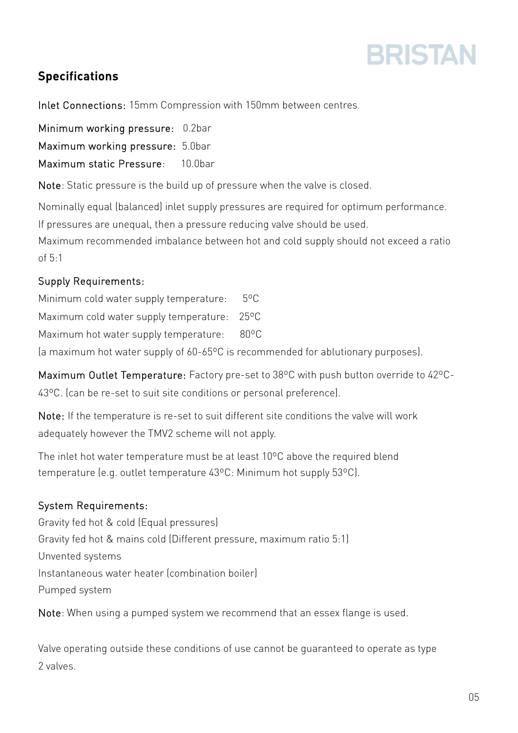

#### Specifications

Inlet Connections: 15mm Compression with 150mm between centres.

Minimum working pressure: 0.2bar Maximum working pressure: 5.0bar Maximum static Pressure: 10.0bar

Note: Static pressure is the build up of pressure when the valve is closed.

Nominally equal (balanced) inlet supply pressures are required for optimum performance.

If pressures are unequal, then a pressure reducing valve should be used.

Maximum recommended imbalance between hot and cold supply should not exceed a ratio of  $5.1$ 

#### Supply Requirements:

Minimum cold water supply temperature: 5ºC Maximum cold water supply temperature: 25ºC Maximum hot water supply temperature: 80°C

(a maximum hot water supply of 60-65ºC is recommended for ablutionary purposes).

Maximum Outlet Temperature: Factory pre-set to 38ºC with push button override to 42ºC-43ºC. (can be re-set to suit site conditions or personal preference).

Note: If the temperature is re-set to suit different site conditions the valve will work adequately however the TMV2 scheme will not apply.

The inlet hot water temperature must be at least 10ºC above the required blend temperature (e.g. outlet temperature 43ºC: Minimum hot supply 53ºC).

#### System Requirements:

Gravity fed hot & cold (Equal pressures) Gravity fed hot & mains cold (Different pressure, maximum ratio 5:1) Unvented systems Instantaneous water heater (combination boiler) Pumped system

Note: When using a pumped system we recommend that an essex flange is used.

Valve operating outside these conditions of use cannot be guaranteed to operate as type 2 valves.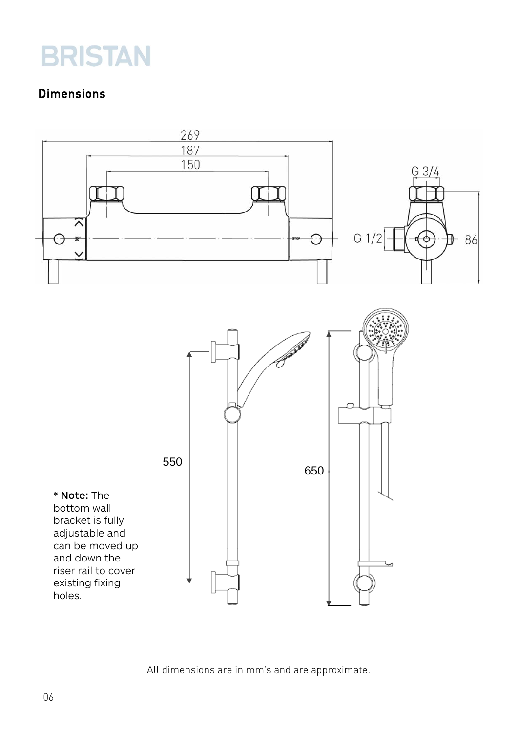#### Dimensions



All dimensions are in mm's and are approximate.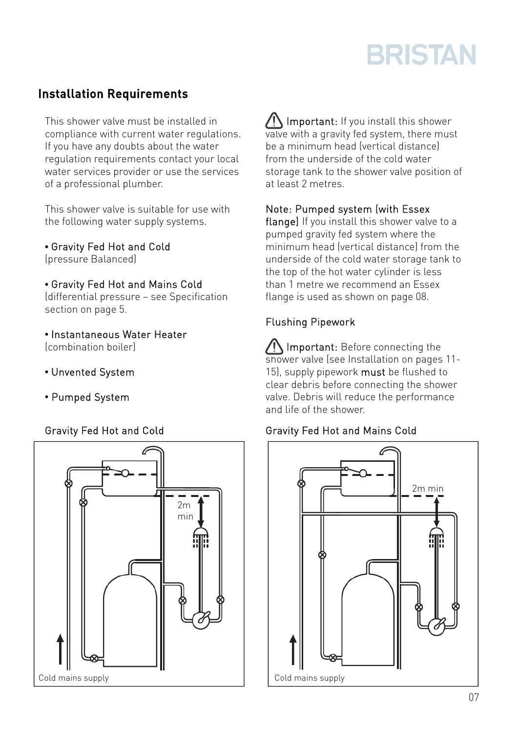#### Installation Requirements

This shower valve must be installed in compliance with current water regulations. If you have any doubts about the water regulation requirements contact your local water services provider or use the services of a professional plumber.

This shower valve is suitable for use with the following water supply systems.

• Gravity Fed Hot and Cold

(pressure Balanced)

• Gravity Fed Hot and Mains Cold

(differential pressure – see Specification section on page 5.

• Instantaneous Water Heater (combination boiler)

- Unvented System
- Pumped System

#### Gravity Fed Hot and Cold



IN Important: If you install this shower valve with a gravity fed system, there must be a minimum head (vertical distance) from the underside of the cold water storage tank to the shower valve position of at least 2 metres.

Note: Pumped system (with Essex

flange) If you install this shower valve to a pumped gravity fed system where the minimum head (vertical distance) from the underside of the cold water storage tank to the top of the hot water cylinder is less than 1 metre we recommend an Essex flange is used as shown on page 08.

#### Flushing Pipework

Important: Before connecting the shower valve (see Installation on pages 11- 15), supply pipework must be flushed to clear debris before connecting the shower valve. Debris will reduce the performance and life of the shower.

#### Gravity Fed Hot and Mains Cold

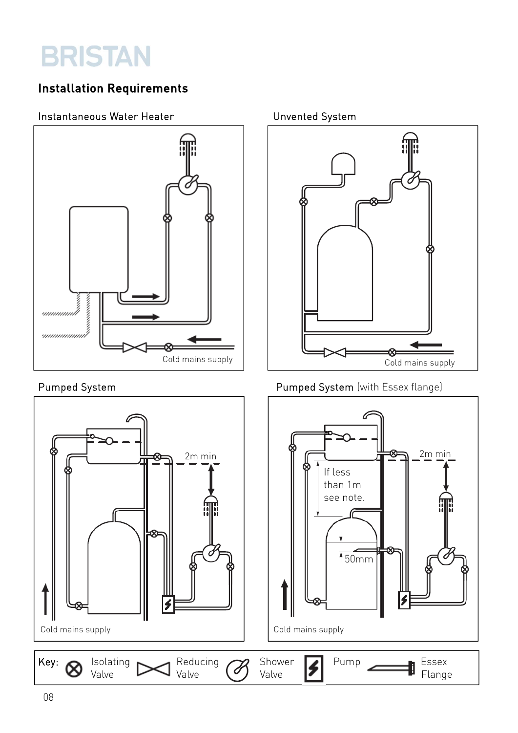#### Installation Requirements

#### Instantaneous Water Heater New York Chrometed System





#### Pumped System **Pumped System (with Essex flange)**

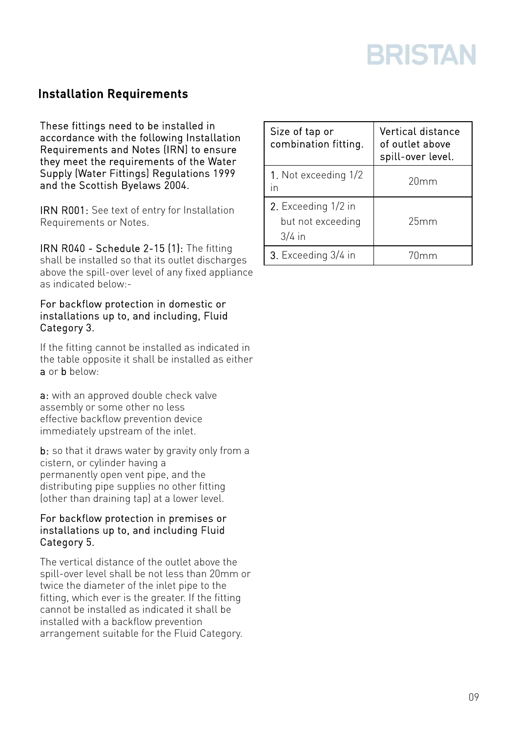#### Installation Requirements

These fittings need to be installed in accordance with the following Installation Requirements and Notes (IRN) to ensure they meet the requirements of the Water Supply (Water Fittings) Regulations 1999 and the Scottish Byelaws 2004.

IRN R001: See text of entry for Installation Requirements or Notes.

IRN R040 - Schedule 2-15 (1): The fitting shall be installed so that its outlet discharges above the spill-over level of any fixed appliance as indicated below:-

#### For backflow protection in domestic or installations up to, and including, Fluid Category 3.

If the fitting cannot be installed as indicated in the table opposite it shall be installed as either a or b below:

a: with an approved double check valve assembly or some other no less effective backflow prevention device immediately upstream of the inlet.

b: so that it draws water by gravity only from a cistern, or cylinder having a permanently open vent pipe, and the distributing pipe supplies no other fitting (other than draining tap) at a lower level.

#### For backflow protection in premises or installations up to, and including Fluid Category 5.

The vertical distance of the outlet above the spill-over level shall be not less than 20mm or twice the diameter of the inlet pipe to the fitting, which ever is the greater. If the fitting cannot be installed as indicated it shall be installed with a backflow prevention arrangement suitable for the Fluid Category.

| Size of tap or<br>combination fitting.               | Vertical distance<br>of outlet above<br>spill-over level. |
|------------------------------------------------------|-----------------------------------------------------------|
| 1. Not exceeding 1/2<br>in                           | 20mm                                                      |
| 2. Exceeding 1/2 in<br>but not exceeding<br>$3/4$ in | 25mm                                                      |
| 3. Exceeding 3/4 in                                  | 70mm                                                      |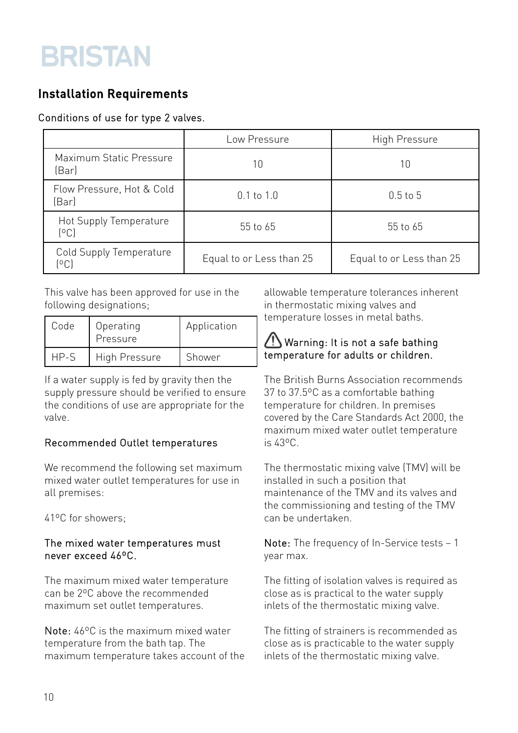#### Installation Requirements

#### Conditions of use for type 2 valves.

|                                    | Low Pressure             | High Pressure            |
|------------------------------------|--------------------------|--------------------------|
| Maximum Static Pressure<br>(Bar)   | 10                       | 10                       |
| Flow Pressure, Hot & Cold<br>(Bar) | $0.1$ to $1.0$           | $0.5$ to $5$             |
| Hot Supply Temperature<br>[°C]     | 55 to 65                 | 55 to 65                 |
| Cold Supply Temperature<br>(°C)    | Equal to or Less than 25 | Equal to or Less than 25 |

This valve has been approved for use in the following designations;

| Code | Operating<br>Pressure | Application |
|------|-----------------------|-------------|
| HP-S | High Pressure         | Shower      |

If a water supply is fed by gravity then the supply pressure should be verified to ensure the conditions of use are appropriate for the valve.

#### Recommended Outlet temperatures

We recommend the following set maximum mixed water outlet temperatures for use in all premises:

41ºC for showers;

#### The mixed water temperatures must never exceed 46ºC.

The maximum mixed water temperature can be 2ºC above the recommended maximum set outlet temperatures.

Note: 46ºC is the maximum mixed water temperature from the bath tap. The maximum temperature takes account of the allowable temperature tolerances inherent in thermostatic mixing valves and temperature losses in metal baths.

#### Warning: It is not a safe bathing temperature for adults or children.

The British Burns Association recommends 37 to 37.5ºC as a comfortable bathing temperature for children. In premises covered by the Care Standards Act 2000, the maximum mixed water outlet temperature is 43ºC.

The thermostatic mixing valve (TMV) will be installed in such a position that maintenance of the TMV and its valves and the commissioning and testing of the TMV can be undertaken.

Note: The frequency of In-Service tests – 1 year max.

The fitting of isolation valves is required as close as is practical to the water supply inlets of the thermostatic mixing valve.

The fitting of strainers is recommended as close as is practicable to the water supply inlets of the thermostatic mixing valve.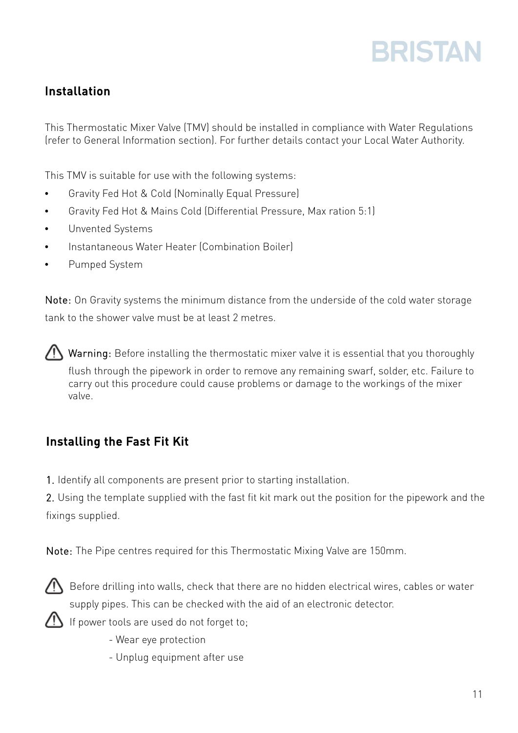#### Installation

This Thermostatic Mixer Valve (TMV) should be installed in compliance with Water Regulations (refer to General Information section). For further details contact your Local Water Authority.

This TMV is suitable for use with the following systems:

- Gravity Fed Hot & Cold (Nominally Equal Pressure)
- Gravity Fed Hot & Mains Cold (Differential Pressure, Max ration 5:1)
- Unvented Systems
- Instantaneous Water Heater (Combination Boiler)
- Pumped System

Note: On Gravity systems the minimum distance from the underside of the cold water storage tank to the shower valve must be at least 2 metres.

 $\sqrt{!}$  Warning: Before installing the thermostatic mixer valve it is essential that you thoroughly flush through the pipework in order to remove any remaining swarf, solder, etc. Failure to carry out this procedure could cause problems or damage to the workings of the mixer valve.

#### Installing the Fast Fit Kit

1. Identify all components are present prior to starting installation.

2. Using the template supplied with the fast fit kit mark out the position for the pipework and the fixings supplied.

Note: The Pipe centres required for this Thermostatic Mixing Valve are 150mm.



 $\bigcap$  Before drilling into walls, check that there are no hidden electrical wires, cables or water supply pipes. This can be checked with the aid of an electronic detector.

 $\sum$  If power tools are used do not forget to;

- Wear eye protection
- Unplug equipment after use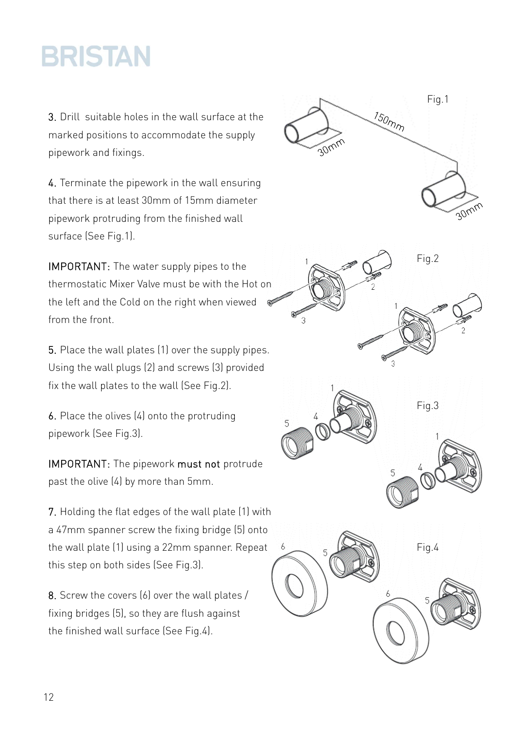3. Drill suitable holes in the wall surface at the marked positions to accommodate the supply pipework and fixings.

4. Terminate the pipework in the wall ensuring that there is at least 30mm of 15mm diameter pipework protruding from the finished wall surface (See Fig.1).

IMPORTANT: The water supply pipes to the thermostatic Mixer Valve must be with the Hot on the left and the Cold on the right when viewed from the front.

5. Place the wall plates (1) over the supply pipes. Using the wall plugs (2) and screws (3) provided fix the wall plates to the wall (See Fig.2).

6. Place the olives (4) onto the protruding pipework (See Fig.3).

IMPORTANT: The pipework must not protrude past the olive (4) by more than 5mm.

7. Holding the flat edges of the wall plate (1) with a 47mm spanner screw the fixing bridge (5) onto the wall plate (1) using a 22mm spanner. Repeat this step on both sides (See Fig.3).

8. Screw the covers (6) over the wall plates / fixing bridges (5), so they are flush against the finished wall surface (See Fig.4).

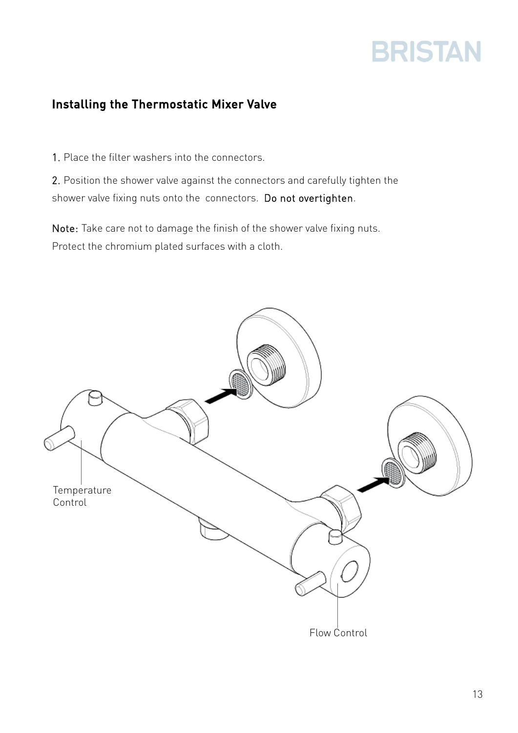#### Installing the Thermostatic Mixer Valve

1. Place the filter washers into the connectors.

2. Position the shower valve against the connectors and carefully tighten the shower valve fixing nuts onto the connectors. Do not overtighten.

Note: Take care not to damage the finish of the shower valve fixing nuts. Protect the chromium plated surfaces with a cloth.

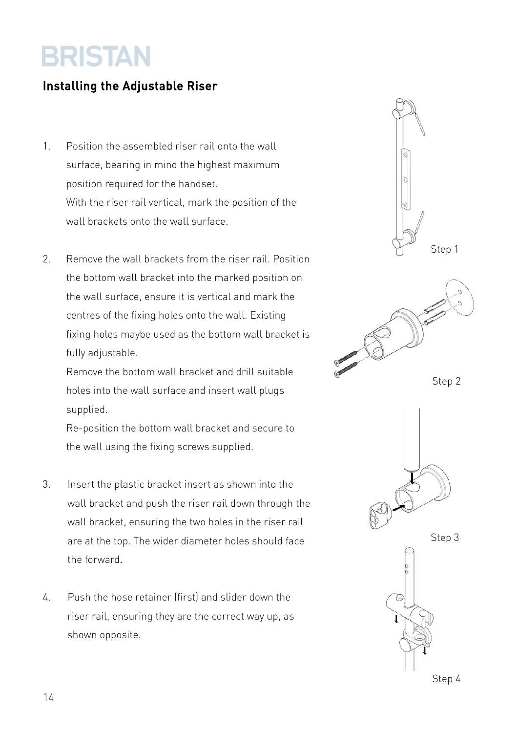#### Installing the Adjustable Riser

- 1. Position the assembled riser rail onto the wall surface, bearing in mind the highest maximum position required for the handset. With the riser rail vertical, mark the position of the wall brackets onto the wall surface.
- 2. Remove the wall brackets from the riser rail. Position the bottom wall bracket into the marked position on the wall surface, ensure it is vertical and mark the centres of the fixing holes onto the wall. Existing fixing holes maybe used as the bottom wall bracket is fully adjustable.

Remove the bottom wall bracket and drill suitable holes into the wall surface and insert wall plugs supplied.

Re-position the bottom wall bracket and secure to the wall using the fixing screws supplied.

- 3. Insert the plastic bracket insert as shown into the wall bracket and push the riser rail down through the wall bracket, ensuring the two holes in the riser rail are at the top. The wider diameter holes should face the forward.
- 4. Push the hose retainer (first) and slider down the riser rail, ensuring they are the correct way up, as shown opposite.

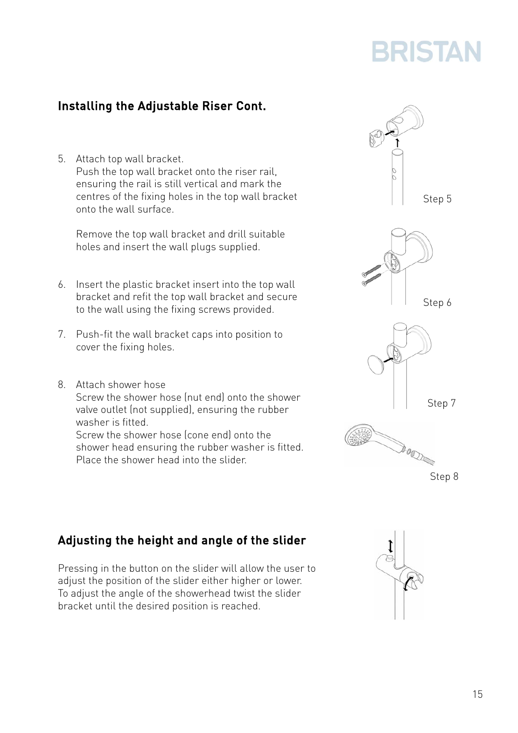#### Installing the Adjustable Riser Cont.

5. Attach top wall bracket. Push the top wall bracket onto the riser rail, ensuring the rail is still vertical and mark the centres of the fixing holes in the top wall bracket onto the wall surface.

Remove the top wall bracket and drill suitable holes and insert the wall plugs supplied.

- 6. Insert the plastic bracket insert into the top wall bracket and refit the top wall bracket and secure to the wall using the fixing screws provided.
- 7. Push-fit the wall bracket caps into position to cover the fixing holes.
- 8. Attach shower hose Screw the shower hose (nut end) onto the shower valve outlet (not supplied), ensuring the rubber washer is fitted. Screw the shower hose (cone end) onto the

shower head ensuring the rubber washer is fitted. Place the shower head into the slider.



Pressing in the button on the slider will allow the user to adjust the position of the slider either higher or lower. To adjust the angle of the showerhead twist the slider bracket until the desired position is reached.





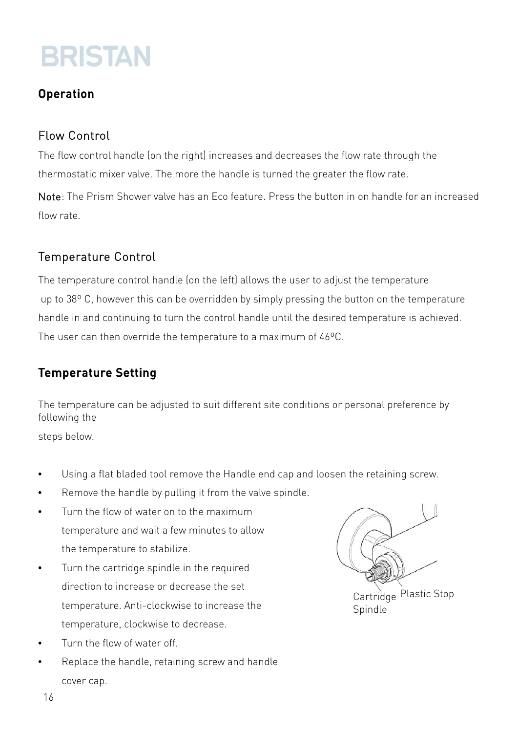#### Operation

#### Flow Control

The flow control handle (on the right) increases and decreases the flow rate through the thermostatic mixer valve. The more the handle is turned the greater the flow rate.

Note: The Prism Shower valve has an Eco feature. Press the button in on handle for an increased flow rate.

#### Temperature Control

The temperature control handle (on the left) allows the user to adjust the temperature up to 38° C, however this can be overridden by simply pressing the button on the temperature handle in and continuing to turn the control handle until the desired temperature is achieved. The user can then override the temperature to a maximum of 46ºC.

#### Temperature Setting

The temperature can be adjusted to suit different site conditions or personal preference by following the

steps below.

- Using a flat bladed tool remove the Handle end cap and loosen the retaining screw.
- Remove the handle by pulling it from the valve spindle.
- Turn the flow of water on to the maximum temperature and wait a few minutes to allow the temperature to stabilize.
- Turn the cartridge spindle in the required direction to increase or decrease the set temperature. Anti-clockwise to increase the temperature, clockwise to decrease.
- Turn the flow of water off.
- Replace the handle, retaining screw and handle cover cap.

Cartridge Plastic Stop Spindle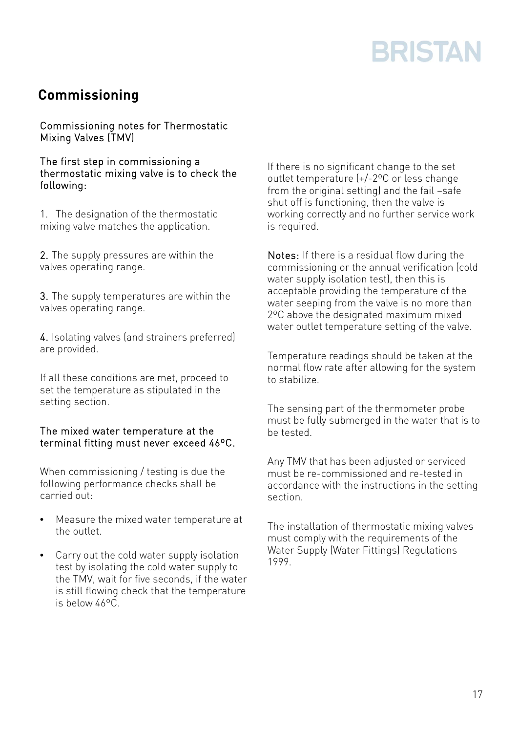#### Commissioning

Commissioning notes for Thermostatic Mixing Valves (TMV)

The first step in commissioning a thermostatic mixing valve is to check the following:

1. The designation of the thermostatic mixing valve matches the application.

2. The supply pressures are within the valves operating range.

3. The supply temperatures are within the valves operating range.

4. Isolating valves (and strainers preferred) are provided.

If all these conditions are met, proceed to set the temperature as stipulated in the setting section.

#### The mixed water temperature at the terminal fitting must never exceed 46ºC.

When commissioning / testing is due the following performance checks shall be carried out:

- Measure the mixed water temperature at the outlet.
- Carry out the cold water supply isolation test by isolating the cold water supply to the TMV, wait for five seconds, if the water is still flowing check that the temperature is below 46ºC.

If there is no significant change to the set outlet temperature (+/-2ºC or less change from the original setting) and the fail -safe shut off is functioning, then the valve is working correctly and no further service work is required.

Notes: If there is a residual flow during the commissioning or the annual verification (cold water supply isolation test), then this is acceptable providing the temperature of the water seeping from the valve is no more than 2ºC above the designated maximum mixed water outlet temperature setting of the valve.

Temperature readings should be taken at the normal flow rate after allowing for the system to stabilize.

The sensing part of the thermometer probe must be fully submerged in the water that is to be tested.

Any TMV that has been adjusted or serviced must be re-commissioned and re-tested in accordance with the instructions in the setting section.

The installation of thermostatic mixing valves must comply with the requirements of the Water Supply (Water Fittings) Regulations 1999.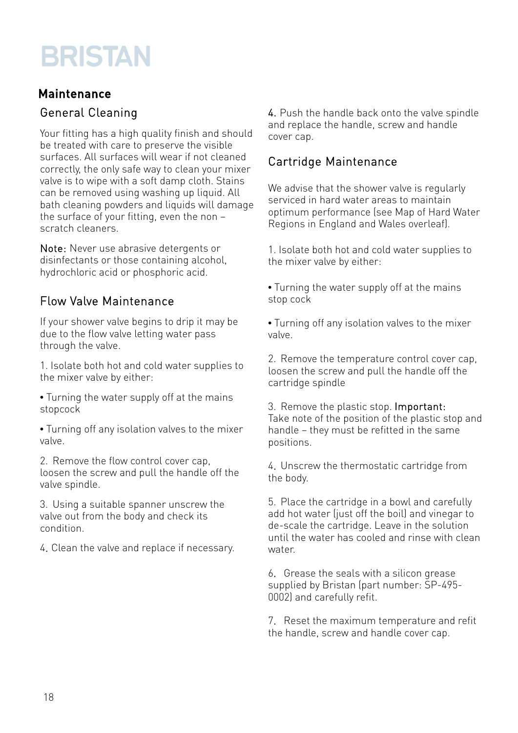#### Maintenance

#### General Cleaning

Your fitting has a high quality finish and should be treated with care to preserve the visible surfaces. All surfaces will wear if not cleaned correctly, the only safe way to clean your mixer valve is to wipe with a soft damp cloth. Stains can be removed using washing up liquid. All bath cleaning powders and liquids will damage the surface of your fitting, even the non – scratch cleaners.

Note: Never use abrasive detergents or disinfectants or those containing alcohol, hydrochloric acid or phosphoric acid.

#### Flow Valve Maintenance

If your shower valve begins to drip it may be due to the flow valve letting water pass through the valve.

1. Isolate both hot and cold water supplies to the mixer valve by either:

• Turning the water supply off at the mains stopcock

• Turning off any isolation valves to the mixer valve.

2. Remove the flow control cover cap, loosen the screw and pull the handle off the valve spindle.

3. Using a suitable spanner unscrew the valve out from the body and check its condition.

4. Clean the valve and replace if necessary.

4. Push the handle back onto the valve spindle and replace the handle, screw and handle cover cap.

#### Cartridge Maintenance

We advise that the shower valve is regularly serviced in hard water areas to maintain optimum performance (see Map of Hard Water Regions in England and Wales overleaf).

1. Isolate both hot and cold water supplies to the mixer valve by either:

• Turning the water supply off at the mains stop cock

• Turning off any isolation valves to the mixer valve.

2. Remove the temperature control cover cap, loosen the screw and pull the handle off the cartridge spindle

3. Remove the plastic stop. Important: Take note of the position of the plastic stop and handle – they must be refitted in the same positions.

4. Unscrew the thermostatic cartridge from the body.

5. Place the cartridge in a bowl and carefully add hot water (just off the boil) and vinegar to de-scale the cartridge. Leave in the solution until the water has cooled and rinse with clean water.

6. Grease the seals with a silicon grease supplied by Bristan (part number: SP-495- 0002) and carefully refit.

7. Reset the maximum temperature and refit the handle, screw and handle cover cap.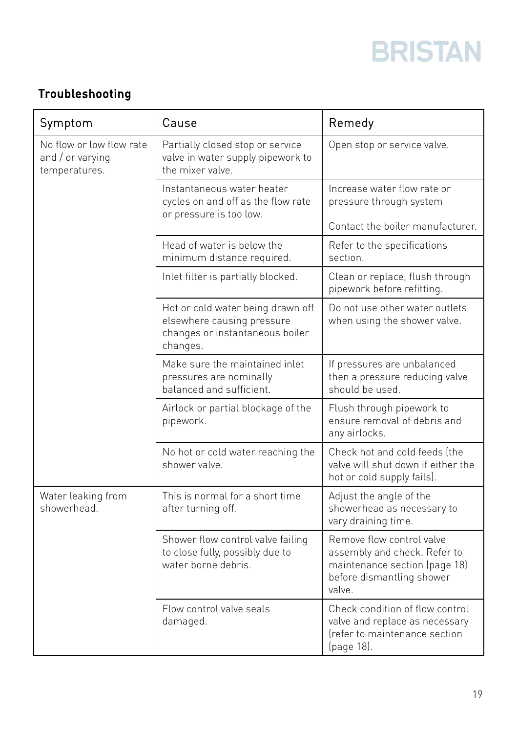#### Troubleshooting

| Symptom                                                       | Cause                                                                                                          | Remedy                                                                                                                            |
|---------------------------------------------------------------|----------------------------------------------------------------------------------------------------------------|-----------------------------------------------------------------------------------------------------------------------------------|
| No flow or low flow rate<br>and / or varying<br>temperatures. | Partially closed stop or service<br>valve in water supply pipework to<br>the mixer valve.                      | Open stop or service valve.                                                                                                       |
|                                                               | Instantaneous water heater<br>cycles on and off as the flow rate<br>or pressure is too low.                    | Increase water flow rate or<br>pressure through system                                                                            |
|                                                               |                                                                                                                | Contact the boiler manufacturer.                                                                                                  |
|                                                               | Head of water is below the<br>minimum distance required.                                                       | Refer to the specifications<br>section.                                                                                           |
|                                                               | Inlet filter is partially blocked.                                                                             | Clean or replace, flush through<br>pipework before refitting.                                                                     |
|                                                               | Hot or cold water being drawn off<br>elsewhere causing pressure<br>changes or instantaneous boiler<br>changes. | Do not use other water outlets<br>when using the shower valve.                                                                    |
|                                                               | Make sure the maintained inlet<br>pressures are nominally<br>balanced and sufficient.                          | If pressures are unbalanced<br>then a pressure reducing valve<br>should be used.                                                  |
|                                                               | Airlock or partial blockage of the<br>pipework.                                                                | Flush through pipework to<br>ensure removal of debris and<br>any airlocks.                                                        |
|                                                               | No hot or cold water reaching the<br>shower valve.                                                             | Check hot and cold feeds (the<br>valve will shut down if either the<br>hot or cold supply fails).                                 |
| Water leaking from<br>showerhead.                             | This is normal for a short time<br>after turning off.                                                          | Adjust the angle of the<br>showerhead as necessary to<br>vary draining time.                                                      |
|                                                               | Shower flow control valve failing<br>to close fully, possibly due to<br>water borne debris.                    | Remove flow control valve<br>assembly and check. Refer to<br>maintenance section (page 18)<br>before dismantling shower<br>valve. |
|                                                               | Flow control valve seals<br>damaged.                                                                           | Check condition of flow control<br>valve and replace as necessary<br>Irefer to maintenance section<br>(page 18).                  |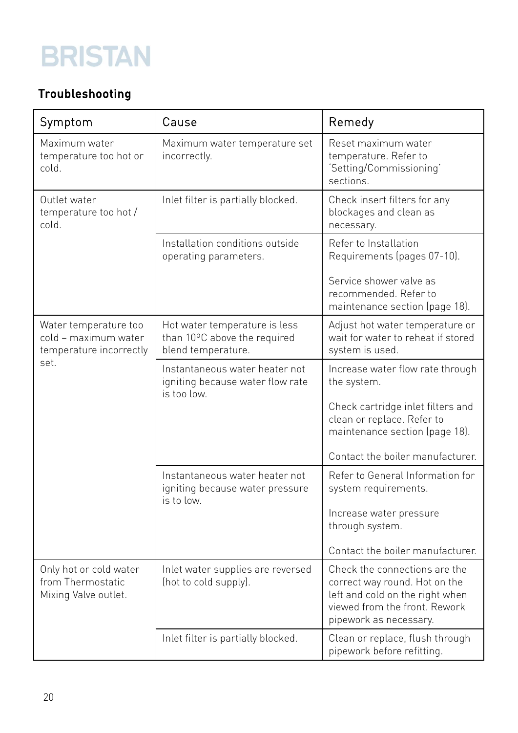#### Troubleshooting

| Symptom                                                                          | Cause                                                                               | Remedy                                                                                                                                                       |
|----------------------------------------------------------------------------------|-------------------------------------------------------------------------------------|--------------------------------------------------------------------------------------------------------------------------------------------------------------|
| Maximum water<br>temperature too hot or<br>cold.                                 | Maximum water temperature set<br>incorrectly.                                       | Reset maximum water<br>temperature. Refer to<br>'Setting/Commissioning'<br>sections.                                                                         |
| Outlet water<br>temperature too hot /<br>cold.                                   | Inlet filter is partially blocked.                                                  | Check insert filters for any<br>blockages and clean as<br>necessary.                                                                                         |
|                                                                                  | Installation conditions outside<br>operating parameters.                            | Refer to Installation<br>Requirements (pages 07-10).                                                                                                         |
|                                                                                  |                                                                                     | Service shower valve as<br>recommended. Refer to<br>maintenance section (page 18).                                                                           |
| Water temperature too<br>cold - maximum water<br>temperature incorrectly<br>set. | Hot water temperature is less<br>than 10°C above the required<br>blend temperature. | Adjust hot water temperature or<br>wait for water to reheat if stored<br>system is used.                                                                     |
|                                                                                  | Instantaneous water heater not<br>igniting because water flow rate<br>is too low.   | Increase water flow rate through<br>the system.                                                                                                              |
|                                                                                  |                                                                                     | Check cartridge inlet filters and<br>clean or replace. Refer to<br>maintenance section (page 18).                                                            |
|                                                                                  |                                                                                     | Contact the boiler manufacturer.                                                                                                                             |
|                                                                                  | Instantaneous water heater not<br>igniting because water pressure<br>is to low.     | Refer to General Information for<br>system requirements.                                                                                                     |
|                                                                                  |                                                                                     | Increase water pressure<br>through system.                                                                                                                   |
|                                                                                  |                                                                                     | Contact the boiler manufacturer.                                                                                                                             |
| Only hot or cold water<br>from Thermostatic<br>Mixing Valve outlet.              | Inlet water supplies are reversed<br>(hot to cold supply).                          | Check the connections are the<br>correct way round. Hot on the<br>left and cold on the right when<br>viewed from the front. Rework<br>pipework as necessary. |
|                                                                                  | Inlet filter is partially blocked.                                                  | Clean or replace, flush through<br>pipework before refitting.                                                                                                |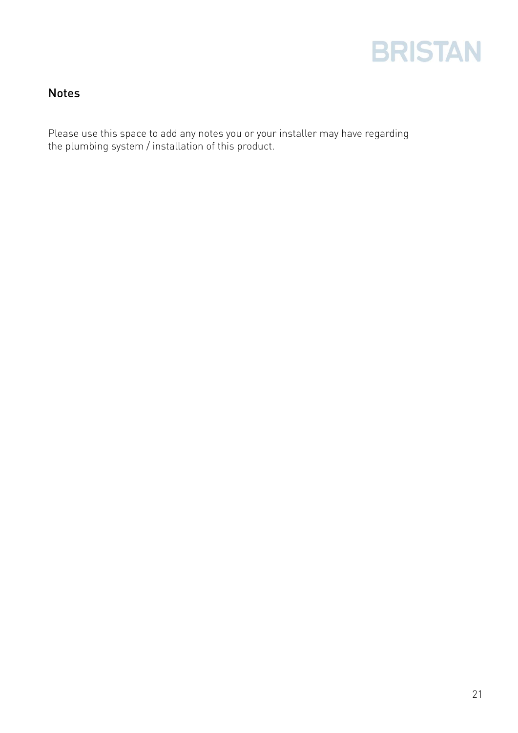

#### Notes

Please use this space to add any notes you or your installer may have regarding the plumbing system / installation of this product.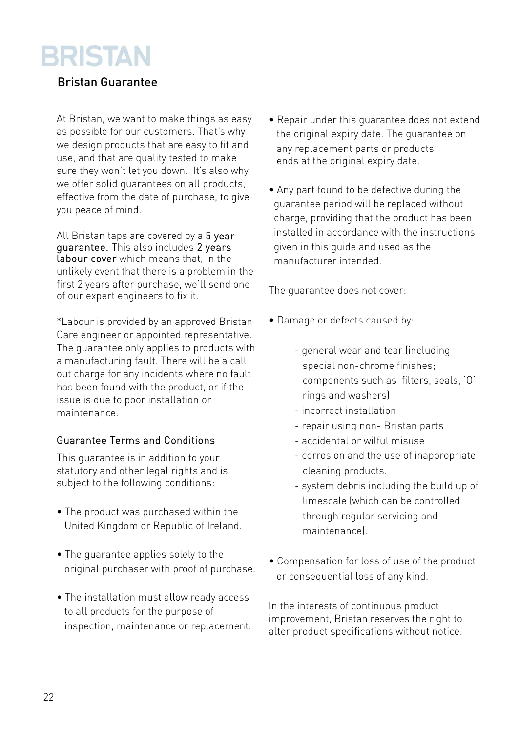#### Bristan Guarantee

At Bristan, we want to make things as easy as possible for our customers. That's why we design products that are easy to fit and use, and that are quality tested to make sure they won't let you down. It's also why we offer solid guarantees on all products, effective from the date of purchase, to give you peace of mind.

All Bristan taps are covered by a 5 year guarantee. This also includes 2 years Labour cover which means that, in the unlikely event that there is a problem in the first 2 years after purchase, we'll send one of our expert engineers to fix it.

\*Labour is provided by an approved Bristan Care engineer or appointed representative. The quarantee only applies to products with a manufacturing fault. There will be a call out charge for any incidents where no fault has been found with the product, or if the issue is due to poor installation or maintenance.

#### Guarantee Terms and Conditions

This guarantee is in addition to your statutory and other legal rights and is subject to the following conditions:

- The product was purchased within the United Kingdom or Republic of Ireland.
- The guarantee applies solely to the original purchaser with proof of purchase.
- The installation must allow ready access to all products for the purpose of inspection, maintenance or replacement.
- Repair under this guarantee does not extend the original expiry date. The guarantee on any replacement parts or products ends at the original expiry date.
- Any part found to be defective during the guarantee period will be replaced without charge, providing that the product has been installed in accordance with the instructions given in this guide and used as the manufacturer intended.

The guarantee does not cover:

- Damage or defects caused by:
	- general wear and tear (including special non-chrome finishes; components such as filters, seals, 'O' rings and washers)
	- incorrect installation
	- repair using non- Bristan parts
	- accidental or wilful misuse
	- corrosion and the use of inappropriate cleaning products.
	- system debris including the build up of limescale (which can be controlled through regular servicing and maintenance).
- Compensation for loss of use of the product or consequential loss of any kind.

In the interests of continuous product improvement, Bristan reserves the right to alter product specifications without notice.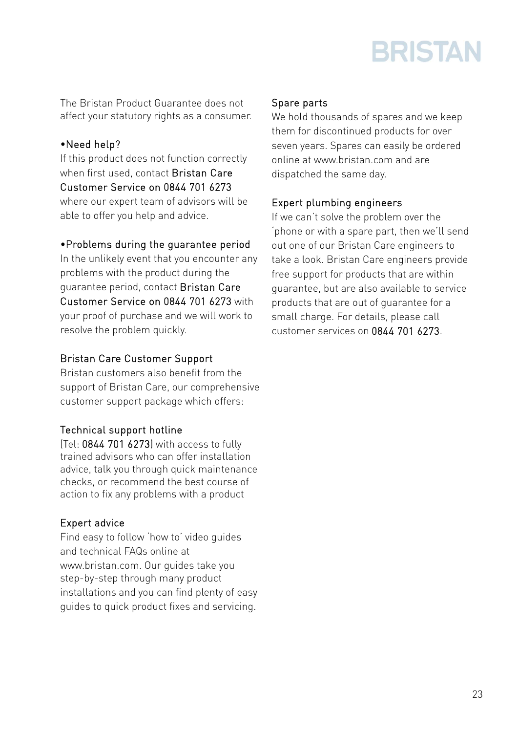

The Bristan Product Guarantee does not affect your statutory rights as a consumer.

#### •Need help?

If this product does not function correctly when first used, contact Bristan Care Customer Service on 0844 701 6273 where our expert team of advisors will be able to offer you help and advice.

#### •Problems during the guarantee period

In the unlikely event that you encounter any problems with the product during the guarantee period, contact Bristan Care Customer Service on 0844 701 6273 with your proof of purchase and we will work to resolve the problem quickly.

#### Bristan Care Customer Support

Bristan customers also benefit from the support of Bristan Care, our comprehensive customer support package which offers:

#### Technical support hotline

(Tel: 0844 701 6273) with access to fully trained advisors who can offer installation advice, talk you through quick maintenance checks, or recommend the best course of action to fix any problems with a product

#### Expert advice

Find easy to follow 'how to' video guides and technical FAQs online at www.bristan.com. Our guides take you step-by-step through many product installations and you can find plenty of easy guides to quick product fixes and servicing.

#### Spare parts

We hold thousands of spares and we keep them for discontinued products for over seven years. Spares can easily be ordered online at www.bristan.com and are dispatched the same day.

#### Expert plumbing engineers

If we can't solve the problem over the 'phone or with a spare part, then we'll send out one of our Bristan Care engineers to take a look. Bristan Care engineers provide free support for products that are within guarantee, but are also available to service products that are out of guarantee for a small charge. For details, please call customer services on 0844 701 6273.